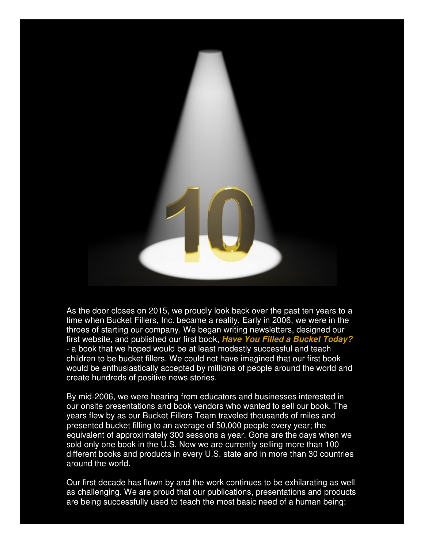

As the door closes on 2015, we proudly look back over the past ten years to a time when Bucket Fillers, Inc. became a reality. Early in 2006, we were in the throes of starting our company. We began writing newsletters, designed our first website, and published our first book, **Have You Filled a Bucket Today?** - a book that we hoped would be at least modestly successful and teach children to be bucket fillers. We could not have imagined that our first book would be enthusiastically accepted by millions of people around the world and create hundreds of positive news stories.

By mid-2006, we were hearing from educators and businesses interested in our onsite presentations and book vendors who wanted to sell our book. The years flew by as our Bucket Fillers Team traveled thousands of miles and presented bucket filling to an average of 50,000 people every year; the equivalent of approximately 300 sessions a year. Gone are the days when we sold only one book in the U.S. Now we are currently selling more than 100 different books and products in every U.S. state and in more than 30 countries around the world.

Our first decade has flown by and the work continues to be exhilarating as well as challenging. We are proud that our publications, presentations and products are being successfully used to teach the most basic need of a human being: